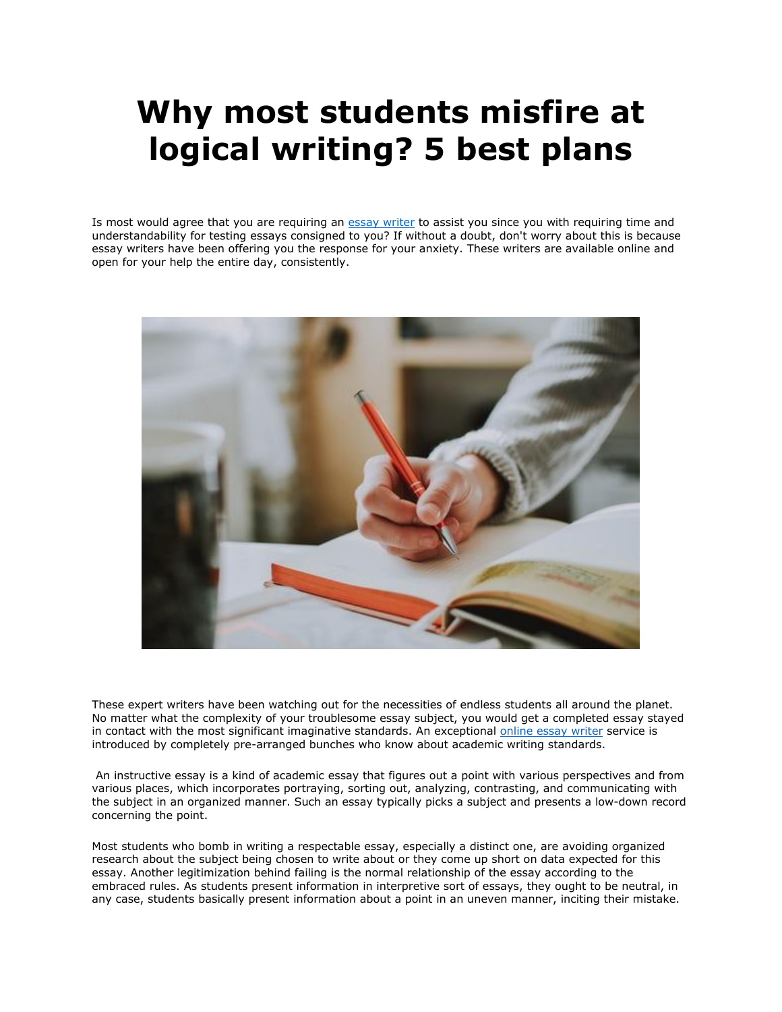## **Why most students misfire at logical writing? 5 best plans**

Is most would agree that you are requiring an [essay writer](https://essaywriternow.com/) to assist you since you with requiring time and understandability for testing essays consigned to you? If without a doubt, don't worry about this is because essay writers have been offering you the response for your anxiety. These writers are available online and open for your help the entire day, consistently.



These expert writers have been watching out for the necessities of endless students all around the planet. No matter what the complexity of your troublesome essay subject, you would get a completed essay stayed in contact with the most significant imaginative standards. An exceptional [online essay writer](https://essaywriternow.com/) service is introduced by completely pre-arranged bunches who know about academic writing standards.

An instructive essay is a kind of academic essay that figures out a point with various perspectives and from various places, which incorporates portraying, sorting out, analyzing, contrasting, and communicating with the subject in an organized manner. Such an essay typically picks a subject and presents a low-down record concerning the point.

Most students who bomb in writing a respectable essay, especially a distinct one, are avoiding organized research about the subject being chosen to write about or they come up short on data expected for this essay. Another legitimization behind failing is the normal relationship of the essay according to the embraced rules. As students present information in interpretive sort of essays, they ought to be neutral, in any case, students basically present information about a point in an uneven manner, inciting their mistake.